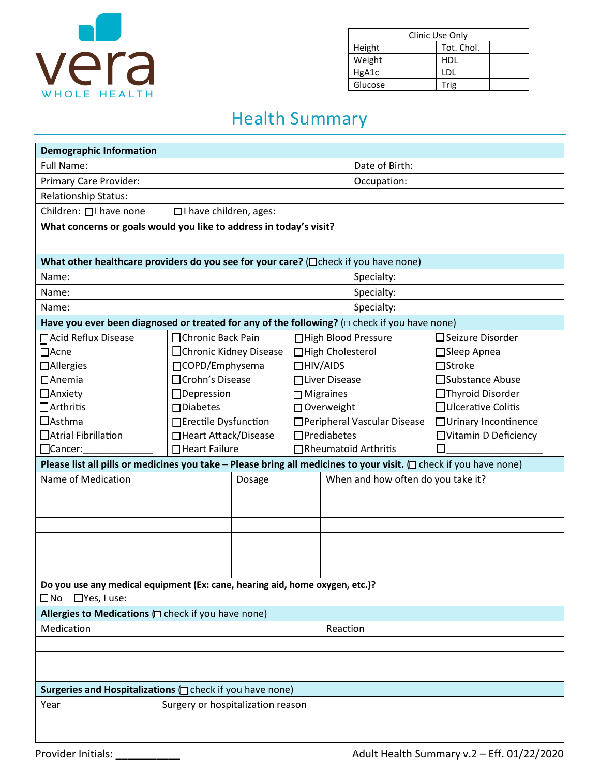

 $\Box$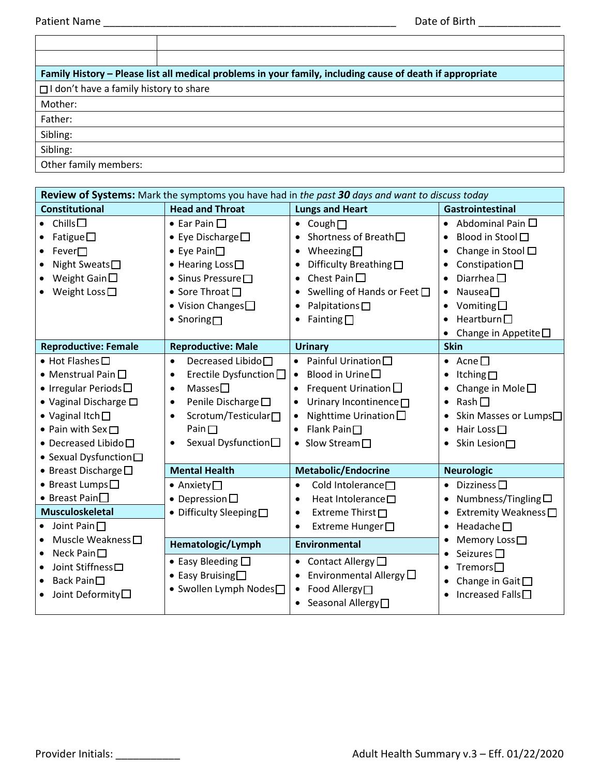| Family History – Please list all medical problems in your family, including cause of death if appropriate |  |  |
|-----------------------------------------------------------------------------------------------------------|--|--|
| $\Box$ I don't have a family history to share                                                             |  |  |
| Mother:                                                                                                   |  |  |
| Father:                                                                                                   |  |  |
| Sibling:                                                                                                  |  |  |
| Sibling:                                                                                                  |  |  |
| Other family members:                                                                                     |  |  |

| <b>Review of Systems:</b> Mark the symptoms you have had in the past 30 days and want to discuss today                                                                                                                                                        |                                                                                                                                                                                                                                                    |                                                                                                                                                                                                                                             |                                                                                                                                                                                                                |
|---------------------------------------------------------------------------------------------------------------------------------------------------------------------------------------------------------------------------------------------------------------|----------------------------------------------------------------------------------------------------------------------------------------------------------------------------------------------------------------------------------------------------|---------------------------------------------------------------------------------------------------------------------------------------------------------------------------------------------------------------------------------------------|----------------------------------------------------------------------------------------------------------------------------------------------------------------------------------------------------------------|
| <b>Constitutional</b>                                                                                                                                                                                                                                         | <b>Head and Throat</b>                                                                                                                                                                                                                             | <b>Lungs and Heart</b>                                                                                                                                                                                                                      | <b>Gastrointestinal</b>                                                                                                                                                                                        |
| Chills $\square$<br>Fatigue $\square$<br>Fever<br>٠<br>Night Sweats <sup></sup><br>٠<br>Weight Gain $\square$<br>$\bullet$<br>Weight Loss $\square$                                                                                                           | $\bullet$ Ear Pain $\Box$<br>• Eye Discharge $\square$<br>$\bullet$ Eye Pain $\Box$<br>$\bullet$ Hearing Loss $\square$<br>$\bullet$ Sinus Pressure $\square$<br>● Sore Throat □<br>$\bullet$ Vision Changes $\square$<br>$\bullet$ Snoring $\Box$ | Cough $\Box$<br>Shortness of Breath $\square$<br>Wheezing $\Box$<br>Difficulty Breathing□<br>Chest Pain $\square$<br>$\bullet$<br>Swelling of Hands or Feet □<br>Palpitations $\square$<br>Fainting $\Box$                                  | Abdominal Pain $\Box$<br>Blood in Stool □<br>$\bullet$<br>Change in Stool $\square$<br>Constipation $\square$<br>Diarrhea $\square$<br>٠<br>Nausea $\square$<br>٠<br>Vomiting $\square$<br>Heartburn $\square$ |
|                                                                                                                                                                                                                                                               |                                                                                                                                                                                                                                                    |                                                                                                                                                                                                                                             | Change in Appetite $\square$                                                                                                                                                                                   |
| <b>Reproductive: Female</b>                                                                                                                                                                                                                                   | <b>Reproductive: Male</b>                                                                                                                                                                                                                          | <b>Urinary</b>                                                                                                                                                                                                                              | <b>Skin</b>                                                                                                                                                                                                    |
| $\bullet$ Hot Flashes $\square$<br>• Menstrual Pain $\square$<br>• Irregular Periods $\square$<br>• Vaginal Discharge $\square$<br>$\bullet$ Vaginal Itch $\square$<br>• Pain with Sex $\Box$<br>$\bullet$ Decreased Libido $\square$<br>● Sexual Dysfunction | Decreased Libido□<br>$\bullet$<br>Erectile Dysfunction $\Box$<br>$\bullet$<br>Masses<br>$\bullet$<br>Penile Discharge $\square$<br>٠<br>Scrotum/Testicular□<br>$\bullet$<br>Pain $\Box$<br>Sexual Dysfunction□<br>$\bullet$                        | Painful Urination $\square$<br>Blood in Urine $\square$<br>$\bullet$<br>Frequent Urination $\square$<br>Urinary Incontinence□<br>$\bullet$<br>Nighttime Urination $\square$<br>Flank Pain $\square$<br>$\bullet$<br>• Slow Stream $\square$ | • Acne $\square$<br>Itching□<br>٠<br>Change in Mole $\square$<br>Rash<br>٠<br>Skin Masses or Lumps□<br>Hair Loss <sup>□</sup><br>$\bullet$<br>Skin Lesion□                                                     |
| • Breast Discharge $\square$                                                                                                                                                                                                                                  | <b>Mental Health</b>                                                                                                                                                                                                                               | <b>Metabolic/Endocrine</b>                                                                                                                                                                                                                  | <b>Neurologic</b>                                                                                                                                                                                              |
| ● Breast Lumps <sup>[1]</sup><br>• Breast Pain $\square$<br><b>Musculoskeletal</b><br>$\bullet$ Joint Pain $\Box$                                                                                                                                             | $\bullet$ Anxiety $\Box$<br>• Depression $\square$<br>• Difficulty Sleeping                                                                                                                                                                        | Cold Intolerance <sup>[1]</sup><br>$\bullet$<br>Heat Intolerance□<br>٠<br>Extreme Thirst□<br>٠<br>Extreme Hunger□<br>٠                                                                                                                      | Dizziness $\square$<br>Numbness/Tingling $\square$<br>٠<br>Extremity Weakness□<br>Headache $\Pi$                                                                                                               |
| Muscle Weakness $\square$<br>$\bullet$                                                                                                                                                                                                                        | Hematologic/Lymph                                                                                                                                                                                                                                  | <b>Environmental</b>                                                                                                                                                                                                                        | Memory Loss□                                                                                                                                                                                                   |
| Neck Pain $\square$<br>$\bullet$<br>Joint Stiffness <sup>[1]</sup><br>٠<br>Back Pain□<br>$\bullet$<br>Joint Deformity <sup>[]</sup><br>٠                                                                                                                      | • Easy Bleeding $\square$<br>$\bullet$ Easy Bruising $\Box$<br>• Swollen Lymph Nodes <sup>1</sup>                                                                                                                                                  | Contact Allergy $\square$<br>$\bullet$<br>Environmental Allergy $\Box$<br>Food Allergy□<br>$\bullet$<br>• Seasonal Allergy <sup>[1]</sup>                                                                                                   | Seizures $\square$<br>Tremors $\square$<br>Change in Gait $\square$<br>Increased Falls $\square$                                                                                                               |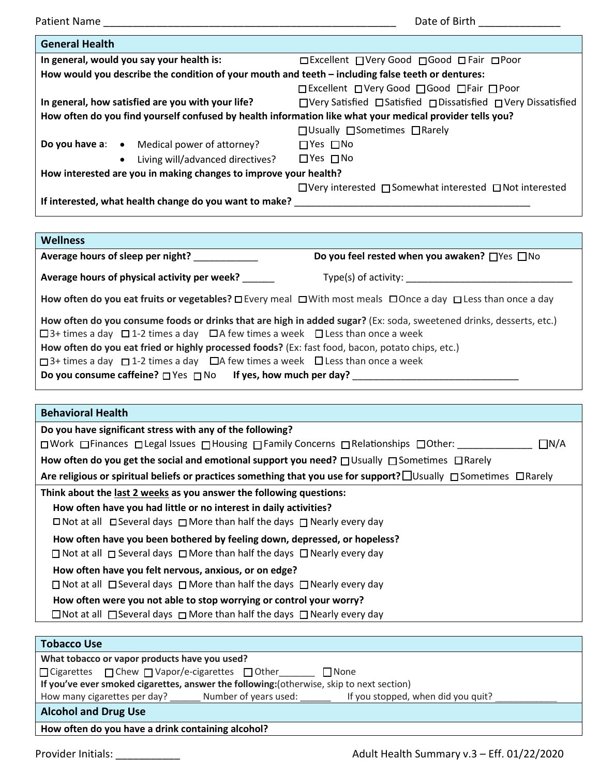Patient Name \_\_\_\_\_\_\_\_\_\_\_\_\_\_\_\_\_\_\_\_\_\_\_\_\_\_\_\_\_\_\_\_\_\_\_\_\_\_\_\_\_\_\_\_\_\_\_\_\_\_ Date of Birth \_\_\_\_\_\_\_\_\_\_\_\_\_\_ **General Health In general, would you say your health is:** □ □ Excellent □ Very Good □ Good □ Fair □ Poor **How would you describe the condition of your mouth and teeth – including false teeth or dentures:** □ Excellent □ Very Good □ Good □ Fair □ Poor **In general, how satisfied are you with your life?** □ Very Satisfied □ Satisfied □ Dissatisfied □ Very Dissatisfied **How often do you find yourself confused by health information like what your medical provider tells you?** □ Usually □ Sometimes □ Rarely **Do you have a:** • Medical power of attorney? • Living will/advanced directives? □ Yes □ No □ Yes □ No **How interested are you in making changes to improve your health?** □ Very interested □ Somewhat interested □ Not interested If interested, what health change do you want to make? **Wellness**  Average hours of sleep per night? \_\_\_\_\_\_\_\_\_\_\_\_\_\_\_\_\_\_\_\_\_\_\_\_\_\_\_\_\_\_\_\_\_\_\_Do you feel rested when you awaken? □ Yes □ No **Average hours of physical activity per week?** Type(s) of activity: **How often do you eat fruits or vegetables?** □ Every meal □ With most meals □ Once a day □ Less than once a day **How often do you consume foods or drinks that are high in added sugar?** (Ex: soda, sweetened drinks, desserts, etc.)  $□$ 3+ times a day  $□$ 1-2 times a day  $□$ A few times a week  $□$  Less than once a week **How often do you eat fried or highly processed foods?** (Ex: fast food, bacon, potato chips, etc.) □ 3+ times a day □ 1-2 times a day □ A few times a week □ Less than once a week **Do you consume caffeine?** □ Yes □ No **If yes, how much per day?** \_\_\_\_\_\_\_\_\_\_\_\_\_\_\_\_\_\_\_\_\_\_\_\_\_\_\_\_\_\_\_ **Behavioral Health Do you have significant stress with any of the following?**  □ Work □ Finances □ Legal Issues □ Housing □ Family Concerns □ Relationships □ Other: □ □ □ △ △ How often do you get the social and emotional support you need? □ Usually □ Sometimes □ Rarely Are religious or spiritual beliefs or practices something that you use for support? **□** Usually □ Sometimes □ Rarely **Think about the last 2 weeks as you answer the following questions: How often have you had little or no interest in daily activities?**  □ Not at all □ Several days □ More than half the days □ Nearly every day  **How often have you been bothered by feeling down, depressed, or hopeless?**  □ Not at all □ Several days □ More than half the days □ Nearly every day  **How often have you felt nervous, anxious, or on edge?**  □ Not at all □ Several days □ More than half the days □ Nearly every day  **How often were you not able to stop worrying or control your worry?** □ Not at all  $\Box$  Several days  $\Box$  More than half the days  $\Box$  Nearly every day **Tobacco Use What tobacco or vapor products have you used?** □ Cigarettes □ Chew □ Vapor/e-cigarettes □ Other\_\_\_\_\_\_\_ □ None **If you've ever smoked cigarettes, answer the following:**(otherwise, skip to next section) How many cigarettes per day? \_\_\_\_\_\_\_ Number of years used: \_\_\_\_\_\_\_ If you stopped, when did you quit?

**Alcohol and Drug Use** 

**How often do you have a drink containing alcohol?**